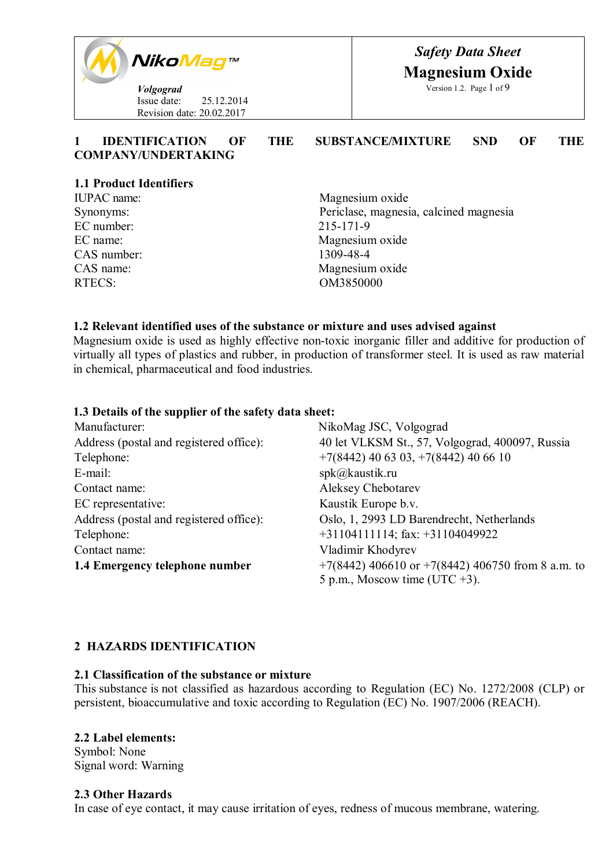

| <b>IDENTIFICATION</b>      | THE | <b>SUBSTANCE/MIXTURE</b> | <b>SND</b> | THE |
|----------------------------|-----|--------------------------|------------|-----|
| <b>COMPANY/UNDERTAKING</b> |     |                          |            |     |

#### **1.1 Product Identifiers**

EC number: 215-171-9 CAS number: 1309-48-4 RTECS: OM3850000

IUPAC name: Magnesium oxide Synonyms: Periclase, magnesia, calcined magnesia EC name: Magnesium oxide CAS name: Magnesium oxide

#### **1.2 Relevant identified uses of the substance or mixture and uses advised against**

Magnesium oxide is used as highly effective non-toxic inorganic filler and additive for production of virtually all types of plastics and rubber, in production of transformer steel. It is used as raw material in chemical, pharmaceutical and food industries.

#### **1.3 Details of the supplier of the safety data sheet:**

| Manufacturer:                           | NikoMag JSC, Volgograd                            |  |  |
|-----------------------------------------|---------------------------------------------------|--|--|
| Address (postal and registered office): | 40 let VLKSM St., 57, Volgograd, 400097, Russia   |  |  |
| Telephone:                              | $+7(8442)$ 40 63 03, $+7(8442)$ 40 66 10          |  |  |
| E-mail:                                 | $spk(a)$ kaustik.ru                               |  |  |
| Contact name:                           | Aleksey Chebotarev                                |  |  |
| EC representative:                      | Kaustik Europe b.v.                               |  |  |
| Address (postal and registered office): | Oslo, 1, 2993 LD Barendrecht, Netherlands         |  |  |
| Telephone:                              | $+31104111114$ ; fax: $+31104049922$              |  |  |
| Contact name:                           | Vladimir Khodyrev                                 |  |  |
| 1.4 Emergency telephone number          | +7(8442) 406610 or +7(8442) 406750 from 8 a.m. to |  |  |
|                                         | 5 p.m., Moscow time (UTC $+3$ ).                  |  |  |

#### **2 HAZARDS IDENTIFICATION**

#### **2.1 Classification of the substance or mixture**

This substance is not classified as hazardous according to Regulation (ЕС) No. 1272/2008 (CLP) or persistent, bioaccumulative and toxic according to Regulation (ЕС) No. 1907/2006 (REACH).

#### **2.2 Label elements:**

Symbol: None Signal word: Warning

#### **2.3 Other Hazards**

In case of eye contact, it may cause irritation of eyes, redness of mucous membrane, watering.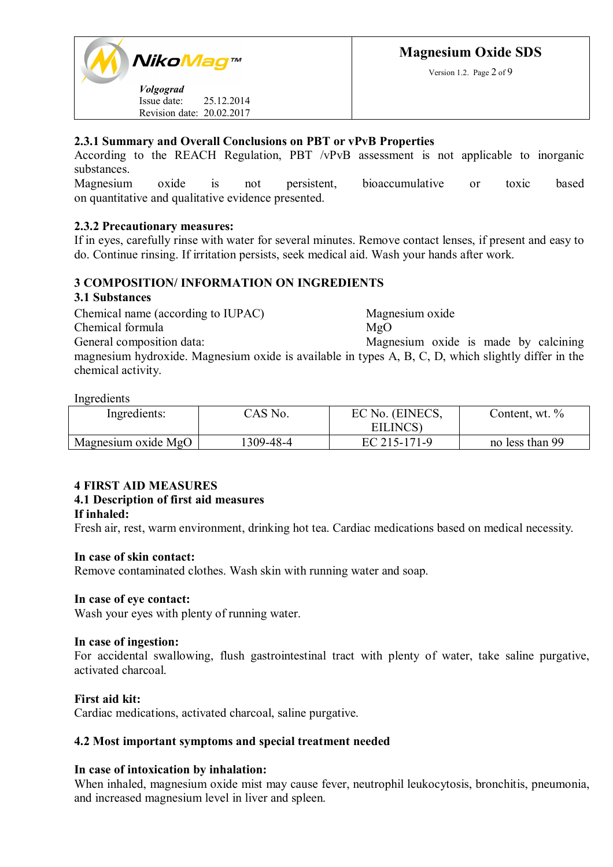Version 1.2. Page 2 of 9



# **2.3.1 Summary and Overall Conclusions on PBT or vPvB Properties**

According to the REACH Regulation, PBT /vPvB assessment is not applicable to inorganic substances.

Magnesium oxide is not persistent, bioaccumulative or toxic based on quantitative and qualitative evidence presented.

# **2.3.2 Precautionary measures:**

If in eyes, carefully rinse with water for several minutes. Remove contact lenses, if present and easy to do. Continue rinsing. If irritation persists, seek medical aid. Wash your hands after work.

# **3 COMPOSITION/ INFORMATION ON INGREDIENTS**

#### **3.1 Substances**

Chemical name (according to IUPAC) Magnesium oxide Chemical formula MgO General composition data: Magnesium oxide is made by calcining magnesium hydroxide. Magnesium oxide is available in types A, B, C, D, which slightly differ in the chemical activity.

#### Ingredients

| Ingredients:        | CAS No.   | EC No. (EINECS,<br>EILINCS) | Content, wt. %  |
|---------------------|-----------|-----------------------------|-----------------|
| Magnesium oxide MgO | 1309-48-4 | EC 215-171-9                | no less than 99 |

# **4 FIRST AID MEASURES**

# **4.1 Description of first aid measures**

#### **If inhaled:**

Fresh air, rest, warm environment, drinking hot tea. Cardiac medications based on medical necessity.

#### **In case of skin contact:**

Remove contaminated clothes. Wash skin with running water and soap.

#### **In case of eye contact:**

Wash your eyes with plenty of running water.

#### **In case of ingestion:**

For accidental swallowing, flush gastrointestinal tract with plenty of water, take saline purgative, activated charcoal.

#### **First aid kit:**

Cardiac medications, activated charcoal, saline purgative.

#### **4.2 Most important symptoms and special treatment needed**

#### **In case of intoxication by inhalation:**

When inhaled, magnesium oxide mist may cause fever, neutrophil leukocytosis, bronchitis, pneumonia, and increased magnesium level in liver and spleen.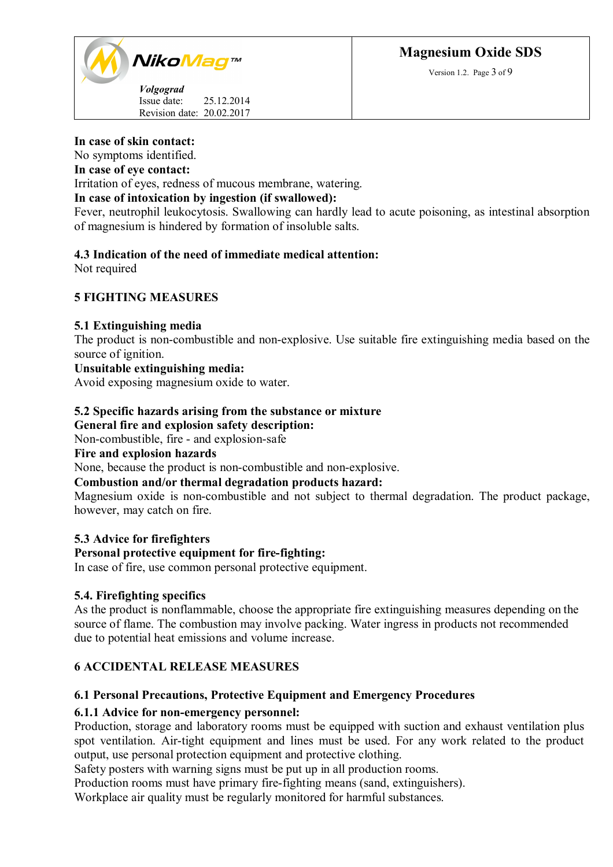

Revision date: 20.02.2017

#### **In case of skin contact:**

No symptoms identified.

#### **In case of eye contact:**

Irritation of eyes, redness of mucous membrane, watering.

# **In case of intoxication by ingestion (if swallowed):**

Fever, neutrophil leukocytosis. Swallowing can hardly lead to acute poisoning, as intestinal absorption of magnesium is hindered by formation of insoluble salts.

# **4.3 Indication of the need of immediate medical attention:**

Not required

# **5 FIGHTING MEASURES**

#### **5.1 Extinguishing media**

The product is non-combustible and non-explosive. Use suitable fire extinguishing media based on the source of ignition.

#### **Unsuitable extinguishing media:**

Avoid exposing magnesium oxide to water.

#### **5.2 Specific hazards arising from the substance or mixture General fire and explosion safety description:**

Non-combustible, fire - and explosion-safe

#### **Fire and explosion hazards**

None, because the product is non-combustible and non-explosive.

#### **Combustion and/or thermal degradation products hazard:**

Magnesium oxide is non-combustible and not subject to thermal degradation. The product package, however, may catch on fire.

#### **5.3 Advice for firefighters**

#### **Personal protective equipment for fire-fighting:**

In case of fire, use common personal protective equipment.

#### **5.4. Firefighting specifics**

As the product is nonflammable, choose the appropriate fire extinguishing measures depending on the source of flame. The combustion may involve packing. Water ingress in products not recommended due to potential heat emissions and volume increase.

#### **6 ACCIDENTAL RELEASE MEASURES**

# **6.1 Personal Precautions, Protective Equipment and Emergency Procedures**

#### **6.1.1 Advice for non-emergency personnel:**

Production, storage and laboratory rooms must be equipped with suction and exhaust ventilation plus spot ventilation. Air-tight equipment and lines must be used. For any work related to the product output, use personal protection equipment and protective clothing.

Safety posters with warning signs must be put up in all production rooms.

Production rooms must have primary fire-fighting means (sand, extinguishers).

Workplace air quality must be regularly monitored for harmful substances.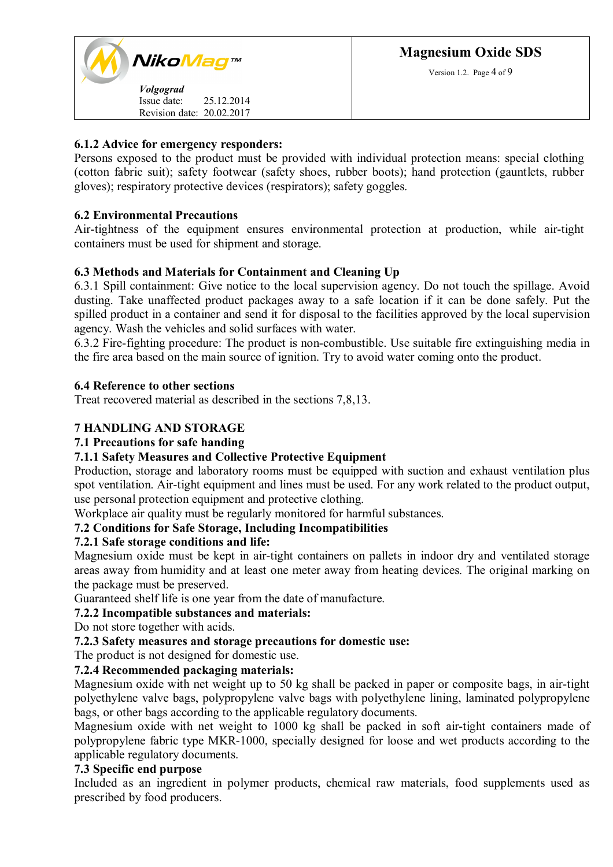Version 1.2. Page 4 of 9

## **6.1.2 Advice for emergency responders:**

Persons exposed to the product must be provided with individual protection means: special clothing (cotton fabric suit); safety footwear (safety shoes, rubber boots); hand protection (gauntlets, rubber gloves); respiratory protective devices (respirators); safety goggles.

# **6.2 Environmental Precautions**

Air-tightness of the equipment ensures environmental protection at production, while air-tight containers must be used for shipment and storage.

# **6.3 Methods and Materials for Containment and Cleaning Up**

6.3.1 Spill containment: Give notice to the local supervision agency. Do not touch the spillage. Avoid dusting. Take unaffected product packages away to a safe location if it can be done safely. Put the spilled product in a container and send it for disposal to the facilities approved by the local supervision agency. Wash the vehicles and solid surfaces with water.

6.3.2 Fire-fighting procedure: The product is non-combustible. Use suitable fire extinguishing media in the fire area based on the main source of ignition. Try to avoid water coming onto the product.

# **6.4 Reference to other sections**

Treat recovered material as described in the sections 7,8,13.

# **7 HANDLING AND STORAGE**

# **7.1 Precautions for safe handing**

#### **7.1.1 Safety Measures and Collective Protective Equipment**

Production, storage and laboratory rooms must be equipped with suction and exhaust ventilation plus spot ventilation. Air-tight equipment and lines must be used. For any work related to the product output, use personal protection equipment and protective clothing.

Workplace air quality must be regularly monitored for harmful substances.

#### **7.2 Conditions for Safe Storage, Including Incompatibilities**

# **7.2.1 Safe storage conditions and life:**

Magnesium oxide must be kept in air-tight containers on pallets in indoor dry and ventilated storage areas away from humidity and at least one meter away from heating devices. The original marking on the package must be preserved.

Guaranteed shelf life is one year from the date of manufacture.

### **7.2.2 Incompatible substances and materials:**

Do not store together with acids.

#### **7.2.3 Safety measures and storage precautions for domestic use:**

The product is not designed for domestic use.

### **7.2.4 Recommended packaging materials:**

Magnesium oxide with net weight up to 50 kg shall be packed in paper or composite bags, in air-tight polyethylene valve bags, polypropylene valve bags with polyethylene lining, laminated polypropylene bags, or other bags according to the applicable regulatory documents.

Magnesium oxide with net weight to 1000 kg shall be packed in soft air-tight containers made of polypropylene fabric type MKR-1000, specially designed for loose and wet products according to the applicable regulatory documents.

### **7.3 Specific end purpose**

Included as an ingredient in polymer products, chemical raw materials, food supplements used as prescribed by food producers.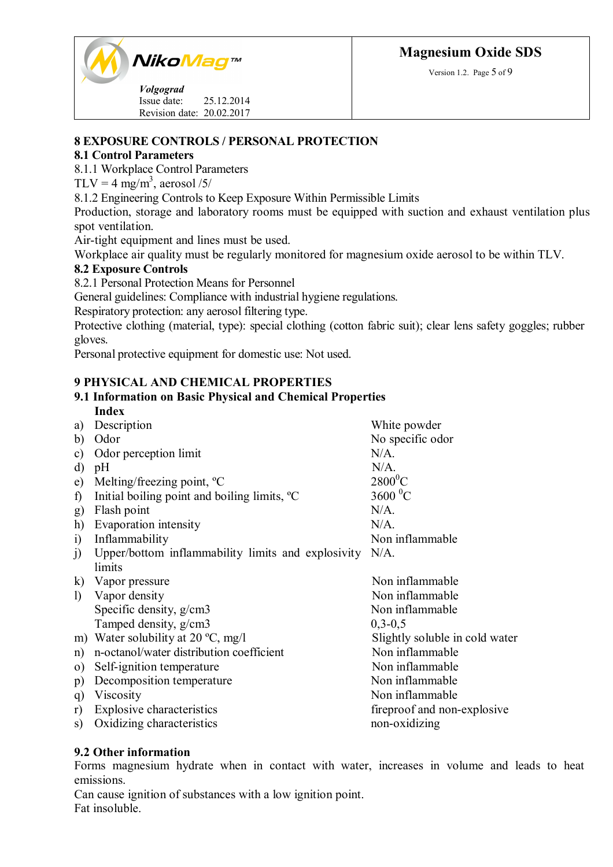

*Volgograd* Issue date: 25.12.2014 Revision date: 20.02.2017 Version 1.2. Page 5 of 9

# **8 EXPOSURE CONTROLS / PERSONAL PROTECTION**

# **8.1 Control Parameters**

8.1.1 Workplace Control Parameters

TLV = 4 mg/m<sup>3</sup>, aerosol /5/

8.1.2 Engineering Controls to Keep Exposure Within Permissible Limits

Production, storage and laboratory rooms must be equipped with suction and exhaust ventilation plus spot ventilation.

Air-tight equipment and lines must be used.

Workplace air quality must be regularly monitored for magnesium oxide aerosol to be within TLV.

# **8.2 Exposure Controls**

8.2.1 Personal Protection Means for Personnel

General guidelines: Compliance with industrial hygiene regulations.

Respiratory protection: any aerosol filtering type.

Protective clothing (material, type): special clothing (cotton fabric suit); clear lens safety goggles; rubber gloves.

Personal protective equipment for domestic use: Not used.

# **9 PHYSICAL AND CHEMICAL PROPERTIES**

#### **9.1 Information on Basic Physical and Chemical Properties Index**

| a)                | Description                                              | White powder                   |
|-------------------|----------------------------------------------------------|--------------------------------|
| b)                | Odor                                                     | No specific odor               |
| c)                | Odor perception limit                                    | $N/A$ .                        |
| d)                | pH                                                       | $N/A$ .                        |
| e)                | Melting/freezing point, $^{\circ}C$                      | $2800^0C$                      |
| $\mathbf f$       | Initial boiling point and boiling limits, <sup>o</sup> C | $3600 \, {}^{0}C$              |
| g)                | Flash point                                              | $N/A$ .                        |
| h)                | Evaporation intensity                                    | $N/A$ .                        |
| $\left( i\right)$ | Inflammability                                           | Non inflammable                |
| $\mathbf{J}$      | Upper/bottom inflammability limits and explosivity       | $N/A$ .                        |
|                   | limits                                                   |                                |
|                   | k) Vapor pressure                                        | Non inflammable                |
| $\mathbf{D}$      | Vapor density                                            | Non inflammable                |
|                   | Specific density, g/cm3                                  | Non inflammable                |
|                   | Tamped density, g/cm3                                    | $0, 3 - 0, 5$                  |
|                   | m) Water solubility at 20 $^{\circ}C$ , mg/l             | Slightly soluble in cold water |
| n)                | n-octanol/water distribution coefficient                 | Non inflammable                |
| $\Omega$          | Self-ignition temperature                                | Non inflammable                |
| p)                | Decomposition temperature                                | Non inflammable                |
| q                 | Viscosity                                                | Non inflammable                |
| r)                | <b>Explosive characteristics</b>                         | fireproof and non-explosive    |
| S)                | Oxidizing characteristics                                | non-oxidizing                  |

# **9.2 Other information**

Forms magnesium hydrate when in contact with water, increases in volume and leads to heat emissions.

Can cause ignition of substances with a low ignition point. Fat insoluble.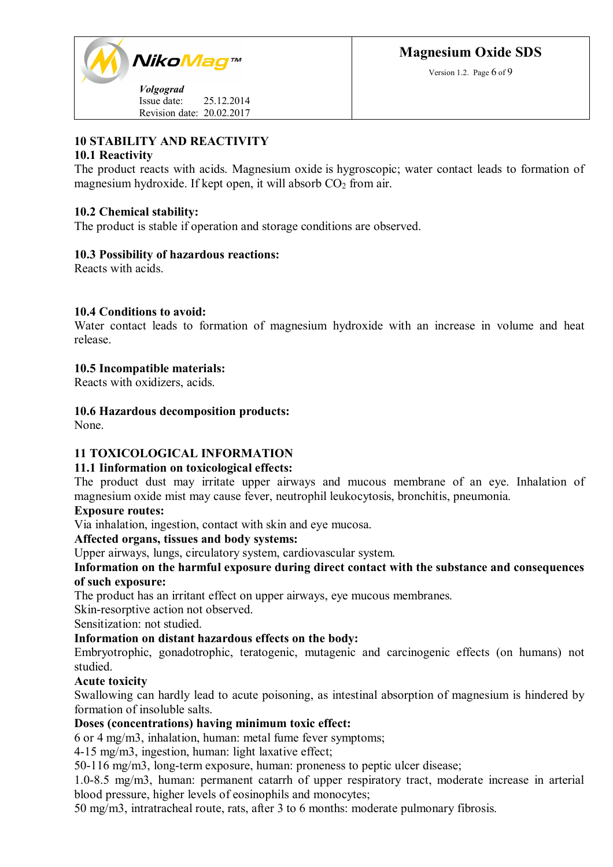

Version 1.2. Page 6 of 9

Issue date: 25.12.2014 Revision date: 20.02.2017

# **10 STABILITY AND REACTIVITY**

# **10.1 Reactivity**

The product reacts with acids. Magnesium oxide is hygroscopic; water contact leads to formation of magnesium hydroxide. If kept open, it will absorb  $CO<sub>2</sub>$  from air.

# **10.2 Chemical stability:**

The product is stable if operation and storage conditions are observed.

# **10.3 Possibility of hazardous reactions:**

Reacts with acids.

# **10.4 Conditions to avoid:**

Water contact leads to formation of magnesium hydroxide with an increase in volume and heat release.

# **10.5 Incompatible materials:**

Reacts with oxidizers, acids.

# **10.6 Hazardous decomposition products:**

None.

# **11 TOXICOLOGICAL INFORMATION**

#### **11.1 Iinformation on toxicological effects:**

The product dust may irritate upper airways and mucous membrane of an eye. Inhalation of magnesium oxide mist may cause fever, neutrophil leukocytosis, bronchitis, pneumonia.

#### **Exposure routes:**

Via inhalation, ingestion, contact with skin and eye mucosa.

#### **Affected organs, tissues and body systems:**

Upper airways, lungs, circulatory system, cardiovascular system.

# **Information on the harmful exposure during direct contact with the substance and consequences of such exposure:**

The product has an irritant effect on upper airways, eye mucous membranes.

Skin-resorptive action not observed.

Sensitization: not studied.

#### **Information on distant hazardous effects on the body:**

Embryotrophic, gonadotrophic, teratogenic, mutagenic and carcinogenic effects (on humans) not studied.

# **Acute toxicity**

Swallowing can hardly lead to acute poisoning, as intestinal absorption of magnesium is hindered by formation of insoluble salts.

#### **Doses (concentrations) having minimum toxic effect:**

6 or 4 mg/m3, inhalation, human: metal fume fever symptoms;

4-15 mg/m3, ingestion, human: light laxative effect;

50-116 mg/m3, long-term exposure, human: proneness to peptic ulcer disease;

1.0-8.5 mg/m3, human: permanent catarrh of upper respiratory tract, moderate increase in arterial blood pressure, higher levels of eosinophils and monocytes;

50 mg/m3, intratracheal route, rats, after 3 to 6 months: moderate pulmonary fibrosis.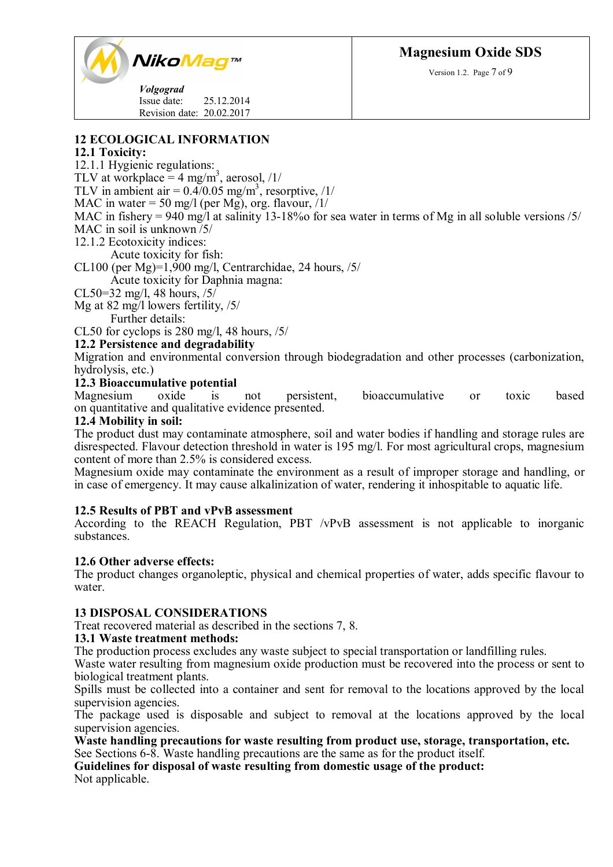



*Volgograd* Issue date: 25.12.2014 Revision date: 20.02.2017

# **12 ECOLOGICAL INFORMATION**

# **12.1 Toxicity:**

12.1.1 Hygienic regulations:

TLV at workplace =  $4 \text{ mg/m}^3$ , aerosol, /1/

TLV in ambient air =  $0.4/0.05$  mg/m<sup>3</sup>, resorptive, /1/

MAC in water = 50 mg/l (per Mg), org. flavour,  $/1/$ 

MAC in fishery = 940 mg/l at salinity 13-18% for sea water in terms of Mg in all soluble versions /5/

MAC in soil is unknown /5/

12.1.2 Ecotoxicity indices:

Acute toxicity for fish:

CL100 (per Mg)=1,900 mg/l, Centrarchidae, 24 hours,  $/5/$ 

Acute toxicity for Daphnia magna:

CL50=32 mg/l, 48 hours, /5/

Mg at 82 mg/l lowers fertility, /5/

Further details:

CL50 for cyclops is 280 mg/l, 48 hours, /5/

#### **12.2 Persistence and degradability**

Migration and environmental conversion through biodegradation and other processes (carbonization, hydrolysis, etc.)

#### **12.3 Bioaccumulative potential**

Magnesium oxide is not persistent, bioaccumulative or toxic based on quantitative and qualitative evidence presented.

#### **12.4 Mobility in soil:**

The product dust may contaminate atmosphere, soil and water bodies if handling and storage rules are disrespected. Flavour detection threshold in water is 195 mg/l. For most agricultural crops, magnesium content of more than 2.5% is considered excess.

Magnesium oxide may contaminate the environment as a result of improper storage and handling, or in case of emergency. It may cause alkalinization of water, rendering it inhospitable to aquatic life.

#### **12.5 Results of PBT and vPvB assessment**

According to the REACH Regulation, PBT /vPvB assessment is not applicable to inorganic substances.

#### **12.6 Other adverse effects:**

The product changes organoleptic, physical and chemical properties of water, adds specific flavour to water.

#### **13 DISPOSAL CONSIDERATIONS**

Treat recovered material as described in the sections 7, 8.

#### **13.1 Waste treatment methods:**

The production process excludes any waste subject to special transportation or landfilling rules.

Waste water resulting from magnesium oxide production must be recovered into the process or sent to biological treatment plants.

Spills must be collected into a container and sent for removal to the locations approved by the local supervision agencies.

The package used is disposable and subject to removal at the locations approved by the local supervision agencies.

**Waste handling precautions for waste resulting from product use, storage, transportation, etc.**

See Sections 6-8. Waste handling precautions are the same as for the product itself.

**Guidelines for disposal of waste resulting from domestic usage of the product:** Not applicable.

Version 1.2. Page 7 of 9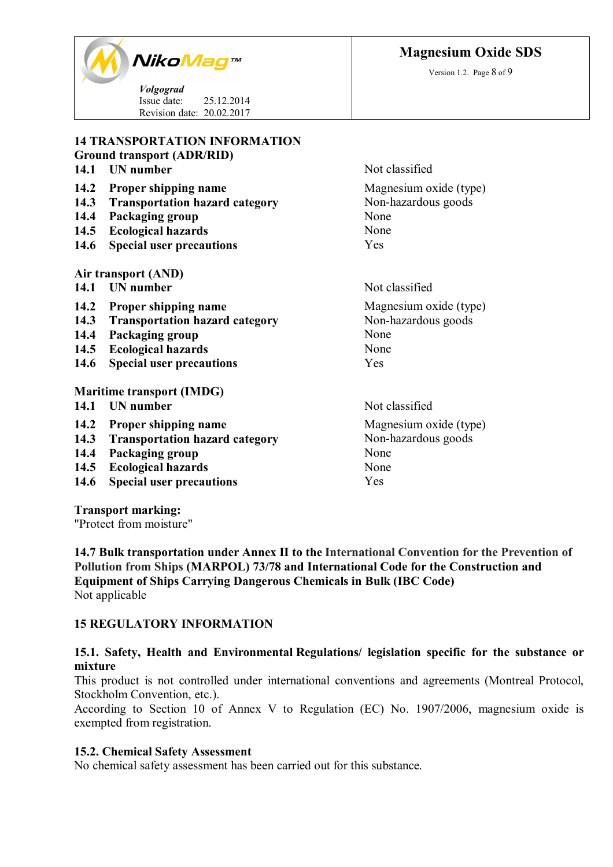**Magnesium Oxide SDS**

Version 1.2. Page 8 of 9



*Volgograd* Issue date: 25.12.2014 Revision date: 20.02.2017

#### **14 TRANSPORTATION INFORMATION Ground transport (ADR/RID)**

# **14.1 UN** number Not classified **14.2 Proper shipping name** Magnesium oxide (type) **14.3 Transportation hazard category** Non-hazardous goods **14.4 Packaging group** None **14.5 Ecological hazards** None **14.6 Special user precautions** Yes **Air transport (AND) 14.1 UN** number Not classified **14.2 Proper shipping name** Magnesium oxide (type) **14.3 Transportation hazard category** Non-hazardous goods

- **14.4 Packaging group** None
- **14.5 Ecological hazards** None
- **14.6 Special user precautions** Yes

#### **Maritime transport (IMDG)**

- **14.1 UN** number Not classified
- 
- **14.3** Transportation hazard category
- **14.4 Packaging group None None None Report of the Second View None Report of None None Report Of None Report Of None Report Of None Report Of None Report Of None Report Of None Report Of None Report Of None Report Of None**
- **14.5 Ecological hazards**
- **14.6 Special user precautions** Yes

**Transport marking:**

"Protect from moisture"

**14.7 Bulk transportation under Annex II to the International Convention for the Prevention of Pollution from Ships (MARPOL) 73/78 and International Code for the Construction and Equipment of Ships Carrying Dangerous Chemicals in Bulk (IBC Code)** Not applicable

# **15 REGULATORY INFORMATION**

# **15.1. Safety, Health and Environmental Regulations/ legislation specific for the substance or mixture**

This product is not controlled under international conventions and agreements (Montreal Protocol, Stockholm Convention, etc.).

According to Section 10 of Annex V to Regulation (ЕС) No. 1907/2006, magnesium oxide is exempted from registration.

#### **15.2. Chemical Safety Assessment**

No chemical safety assessment has been carried out for this substance.

**14.2 Proper shipping name** Magnesium oxide (type)<br> **14.3 Transportation hazard category** Mon-hazardous goods